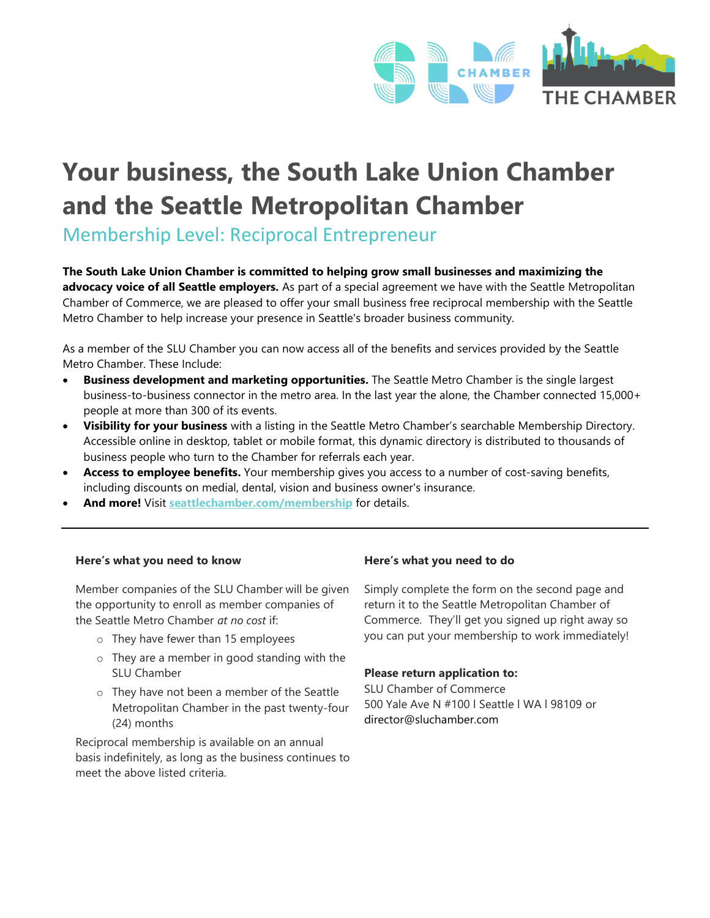

# **Your business, the South Lake Union Chamber and the Seattle Metropolitan Chamber**

Membership Level: Reciprocal Entrepreneur

**The South Lake Union Chamber is committed to helping grow small businesses and maximizing the advocacy voice of all Seattle employers.** As part of a special agreement we have with the Seattle Metropolitan Chamber of Commerce, we are pleased to offer your small business free reciprocal membership with the Seattle Metro Chamber to help increase your presence in Seattle's broader business community.

As a member of the SLU Chamber you can now access all of the benefits and services provided by the Seattle Metro Chamber. These Include:

- **Business development and marketing opportunities.** The Seattle Metro Chamber is the single largest business-to-business connector in the metro area. In the last year the alone, the Chamber connected 15,000+ people at more than 300 of its events.
- **Visibility for your business** with a listing in the Seattle Metro Chamber's searchable Membership Directory. Accessible online in desktop, tablet or mobile format, this dynamic directory is distributed to thousands of business people who turn to the Chamber for referrals each year.
- **Access to employee benefits.** Your membership gives you access to a number of cost-saving benefits, including discounts on medial, dental, vision and business owner's insurance.
- **And more!** Visit **[seattlechamber.com/membership](http://www.seattlechamber.com/membership)** for details.

#### **Here's what you need to know Here's what you need to do**

Member companies of the SLU Chamber will be given the opportunity to enroll as member companies of the Seattle Metro Chamber *at no cost* if:

- o They have fewer than 15 employees
- o They are a member in good standing with the SLU Chamber
- o They have not been a member of the Seattle Metropolitan Chamber in the past twenty-four (24) months

Reciprocal membership is available on an annual basis indefinitely, as long as the business continues to meet the above listed criteria.

Simply complete the form on the second page and return it to the Seattle Metropolitan Chamber of Commerce. They'll get you signed up right away so you can put your membership to work immediately!

#### **Please return application to:**

SLU Chamber of Commerce 500 Yale Ave N #100 l Seattle l WA l 98109 or director@sluchamber.com